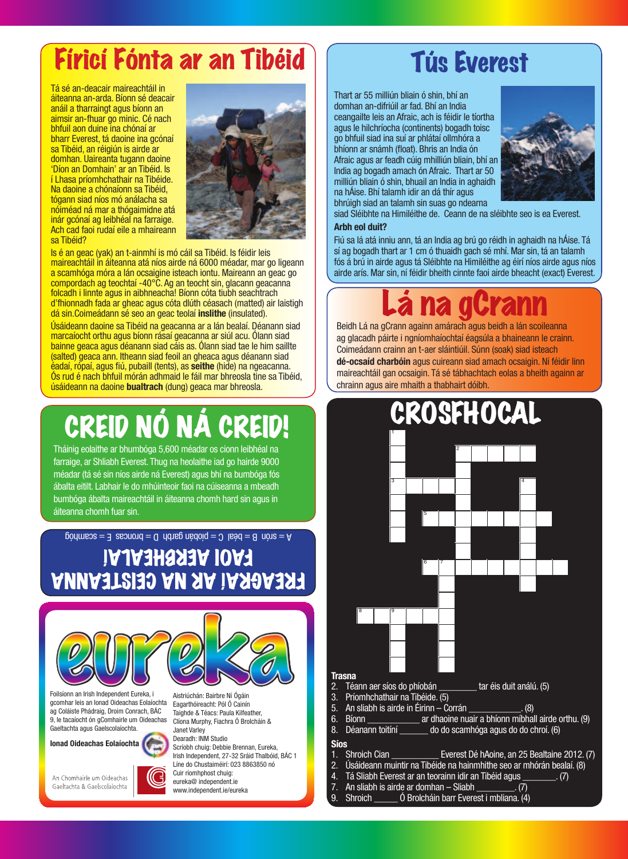### Fíricí Fónta ar an Tibéid | Tús Everest

Tá sé an-deacair maireachtáil in áiteanna an-arda. Bíonn sé deacair anáil a tharraingt agus bíonn an aimsir an-fhuar go minic. Cé nach bhfuil aon duine ina chónaí ar bharr Everest, tá daoine ina gcónaí sa Tibéid, an réigiún is airde ar domhan. Uaireanta tugann daoine 'Díon an Domhain' ar an Tibéid. Is í Lhasa príomhchathair na Tibéide. Na daoine a chónaíonn sa Tibéid, tógann siad níos mó análacha sa nóiméad ná mar a thógaimidne atá inár gcónaí ag leibhéal na farraige. Ach cad faoi rudaí eile a mhaireann sa Tibéid?



Is é an geac (yak) an t-ainmhí is mó cáil sa Tibéid. Is féidir leis maireachtáil in áiteanna atá níos airde ná 6000 méadar, mar go ligeann a scamhóga móra a lán ocsaigine isteach iontu. Maireann an geac go compordach ag teochtaí -40°C. Ag an teocht sin, glacann geacanna folcadh i linnte agus in aibhneacha! Bíonn cóta tiubh seachtrach d'fhionnadh fada ar gheac agus cóta dlúth céasach (matted) air laistigh dá sin.Coimeádann sé seo an geac teolaí **inslithe** (insulated).

Úsáideann daoine sa Tibéid na geacanna ar a lán bealaí. Déanann siad marcaíocht orthu agus bíonn rásaí geacanna ar siúl acu. Ólann siad bainne geaca agus déanann siad cáis as. Ólann siad tae le him saillte (salted) geaca ann. Itheann siad feoil an gheaca agus déanann siad éadaí, rópaí, agus fiú, pubaill (tents), as **seithe** (hide) na ngeacanna. Ós rud é nach bhfuil mórán adhmaid le fáil mar bhreosla tine sa Tibéid, úsáideann na daoine **bualtrach** (dung) geaca mar bhreosla.

# CREID NÓ NÁ CRE

Tháinig eolaithe ar bhumbóga 5,600 méadar os cionn leibhéal na farraige, ar Shliabh Everest. Thug na heolaithe iad go hairde 9000 méadar (tá sé sin níos airde ná Everest) agus bhí na bumbóga fós ábalta eitilt. Labhair le do mhúinteoir faoi na cúiseanna a mbeadh bumbóga ábalta maireachtáil in áiteanna chomh hard sin agus in áiteanna chomh fuar sin.

 $\beta = \text{square} \cdot \text{square} = \text{square} \cdot \text{square} = \text{square} \cdot \text{triangle} = \text{square} \cdot \text{triangle} = \text{triangle} \cdot \text{triangle} = \text{triangle} \cdot \text{triangle}$ 

FREAGRAÍ AR NA CEISTEANNA FA0I AERBHEALAI



Foilsíonn an Irish Independent Eureka, i gcomhar leis an Ionad Oideachas Eolaíochta ag Coláiste Phádraig, Droim Conrach, BÁC 9, le tacaíocht ón gComhairle um Oideachas Gaeltachta agus Gaelscolaíochta.

**Ionad Oideachas Eolaíochta**

An Chomhairle um Oideachas Gaeltachta & Gaelscolaíochta



Scríobh chuig: Debbie Brennan, Eureka, Irish Independent, 27-32 Sráid Thalbóid, BÁC 1 Líne do Chustaiméirí: 023 8863850 nó Cuir ríomhphost chuig: eureka@ independent.ie

www.independent.ie/eureka

Aistriúchán: Bairbre Ní Ógáin

Thart ar 55 milliún bliain ó shin, bhí an domhan an-difriúil ar fad. Bhí an India ceangailte leis an Afraic, ach is féidir le tíortha agus le hilchríocha (continents) bogadh toisc go bhfuil siad ina suí ar phlátaí ollmhóra a bhíonn ar snámh (float). Bhris an India ón Afraic agus ar feadh cúig mhilliún bliain, bhí an India ag bogadh amach ón Afraic. Thart ar 50 milliún bliain ó shin, bhuail an India in aghaidh na hÁise. Bhí talamh idir an dá thír agus bhrúigh siad an talamh sin suas go ndearna



siad Sléibhte na Himiléithe de. Ceann de na sléibhte seo is ea Everest.

#### **Arbh eol duit?**

Fiú sa lá atá inniu ann, tá an India ag brú go réidh in aghaidh na hÁise. Tá sí ag bogadh thart ar 1 cm ó thuaidh gach sé mhí. Mar sin, tá an talamh fós á brú in airde agus tá Sléibhte na Himiléithe ag éirí níos airde agus níos airde arís. Mar sin, ní féidir bheith cinnte faoi airde bheacht (exact) Everest.

## Lá na gCrann

Beidh Lá na gCrann againn amárach agus beidh a lán scoileanna ag glacadh páirte i ngníomhaíochtaí éagsúla a bhaineann le crainn. Coimeádann crainn an t-aer sláintiúil. Súnn (soak) siad isteach **dé-ocsaíd charbóin** agus cuireann siad amach ocsaigin. Ní féidir linn maireachtáil gan ocsaigin. Tá sé tábhachtach eolas a bheith againn ar chrainn agus aire mhaith a thabhairt dóibh.

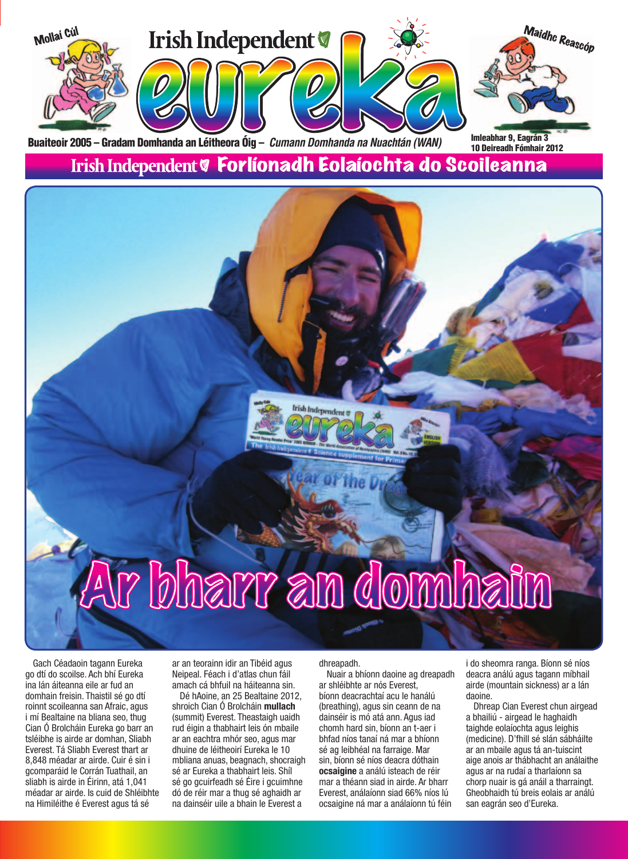

Gach Céadaoin tagann Eureka go dtí do scoilse. Ach bhí Eureka ina lán áiteanna eile ar fud an domhain freisin. Thaistil sé go dtí roinnt scoileanna san Afraic, agus i mí Bealtaine na bliana seo, thug Cian Ó Brolcháin Eureka go barr an tsléibhe is airde ar domhan, Sliabh Everest. Tá Sliabh Everest thart ar 8,848 méadar ar airde. Cuir é sin i gcomparáid le Corrán Tuathail, an sliabh is airde in Éirinn, atá 1,041 méadar ar airde. Is cuid de Shléibhte na Himiléithe é Everest agus tá sé

ar an teorainn idir an Tibéid agus Neipeal. Féach i d'atlas chun fáil amach cá bhfuil na háiteanna sin.

Dé hAoine, an 25 Bealtaine 2012, shroich Cian Ó Brolcháin **mullach**  (summit) Everest. Theastaigh uaidh rud éigin a thabhairt leis ón mbaile ar an eachtra mhór seo, agus mar dhuine de léitheoirí Eureka le 10 mbliana anuas, beagnach, shocraigh sé ar Eureka a thabhairt leis. Shíl sé go gcuirfeadh sé Éire i gcuimhne dó de réir mar a thug sé aghaidh ar na dainséir uile a bhain le Everest a

dhreapadh.

Nuair a bhíonn daoine ag dreapadh ar shléibhte ar nós Everest, bíonn deacrachtaí acu le hanálú (breathing), agus sin ceann de na dainséir is mó atá ann. Agus iad chomh hard sin, bíonn an t-aer i bhfad níos tanaí ná mar a bhíonn sé ag leibhéal na farraige. Mar sin, bíonn sé níos deacra dóthain **ocsaigine** a análú isteach de réir mar a théann siad in airde. Ar bharr Everest, análaíonn siad 66% níos lú ocsaigine ná mar a análaíonn tú féin

i do sheomra ranga. Bíonn sé níos deacra análú agus tagann míbhail airde (mountain sickness) ar a lán daoine.

Dhreap Cian Everest chun airgead a bhailiú - airgead le haghaidh taighde eolaíochta agus leighis (medicine). D'fhill sé slán sábháilte ar an mbaile agus tá an-tuiscint aige anois ar thábhacht an análaithe agus ar na rudaí a tharlaíonn sa chorp nuair is gá anáil a tharraingt. Gheobhaidh tú breis eolais ar análú san eagrán seo d'Eureka.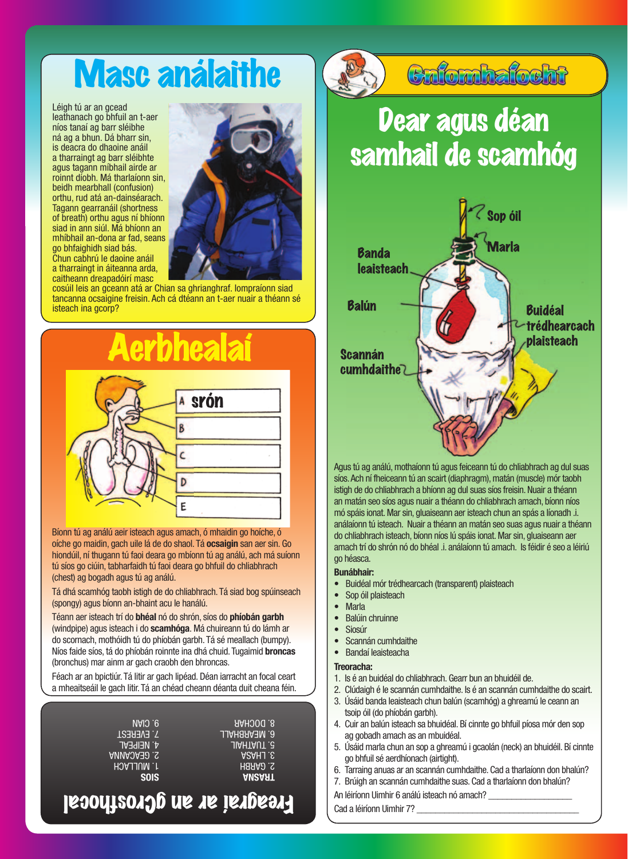# Masc análaithe

Léigh tú ar an gcead leathanach go bhfuil an t-aer níos tanaí ag barr sléibhe ná ag a bhun. Dá bharr sin, is deacra do dhaoine anáil a tharraingt ag barr sléibhte agus tagann míbhail airde ar roinnt díobh. Má tharlaíonn sin, beidh mearbhall (confusion) orthu, rud atá an-dainséarach. Tagann gearranáil (shortness of breath) orthu agus ní bhíonn siad in ann siúl. Má bhíonn an mhíbhail an-dona ar fad, seans go bhfaighidh siad bás. Chun cabhrú le daoine anáil a tharraingt in áiteanna arda, caitheann dreapadóirí masc



cosúil leis an gceann atá ar Chian sa ghrianghraf. Iompraíonn siad tancanna ocsaigine freisin. Ach cá dtéann an t-aer nuair a théann sé isteach ina gcorp?



Bíonn tú ag análú aeir isteach agus amach, ó mhaidin go hoíche, ó oíche go maidin, gach uile lá de do shaol. Tá **ocsaigin** san aer sin. Go hiondúil, ní thugann tú faoi deara go mbíonn tú ag análú, ach má suíonn tú síos go ciúin, tabharfaidh tú faoi deara go bhfuil do chliabhrach (chest) ag bogadh agus tú ag análú.

Tá dhá scamhóg taobh istigh de do chliabhrach. Tá siad bog spúinseach (spongy) agus bíonn an-bhaint acu le hanálú.

Téann aer isteach trí do **bhéal** nó do shrón, síos do **phíobán garbh**  (windpipe) agus isteach i do **scamhóga**. Má chuireann tú do lámh ar do scornach, mothóidh tú do phíobán garbh. Tá sé meallach (bumpy). Níos faide síos, tá do phíobán roinnte ina dhá chuid. Tugaimid **broncas**  (bronchus) mar ainm ar gach craobh den bhroncas.

Féach ar an bpictiúr. Tá litir ar gach lipéad. Déan iarracht an focal ceart a mheaitseáil le gach litir. Tá an chéad cheann déanta duit cheana féin.

| 9. CIAN           | <b>R. DOCHAR</b>    |
|-------------------|---------------------|
| <b>7. EVEREST</b> | <b>G. MEARBHALL</b> |
| <b>4. NEIPEAL</b> | JIAHTAUT .G         |
| <b>ANNAJAED.S</b> | <b>ASAHJ.S.</b>     |
| HOALLACH          | <b>PARBH</b>        |
| <b>SOIS</b>       | <b>ANSART</b>       |
|                   | ∼.                  |

### Freagraí ar an gCrosfhocal



### Cnfomhafocht

## Dear agus déan samhail de scamhóg



Agus tú ag análú, mothaíonn tú agus feiceann tú do chliabhrach ag dul suas síos. Ach ní fheiceann tú an scairt (diaphragm), matán (muscle) mór taobh istigh de do chliabhrach a bhíonn ag dul suas síos freisin. Nuair a théann an matán seo síos agus nuair a théann do chliabhrach amach, bíonn níos mó spáis ionat. Mar sin, gluaiseann aer isteach chun an spás a líonadh .i. análaíonn tú isteach. Nuair a théann an matán seo suas agus nuair a théann do chliabhrach isteach, bíonn níos lú spáis ionat. Mar sin, gluaiseann aer amach trí do shrón nó do bhéal .i. análaíonn tú amach. Is féidir é seo a léiriú go héasca.

#### **Bunábhair:**

- Buidéal mór trédhearcach (transparent) plaisteach
- Sop óil plaisteach
- Marla
- Balúin chruinne
- Siosúr
- Scannán cumhdaithe
- Bandaí leaisteacha

#### **Treoracha:**

- 1. Is é an buidéal do chliabhrach. Gearr bun an bhuidéil de.
- 2. Clúdaigh é le scannán cumhdaithe. Is é an scannán cumhdaithe do scairt.
- 3. Úsáid banda leaisteach chun balún (scamhóg) a ghreamú le ceann an tsoip óil (do phíobán garbh).
- 4. Cuir an balún isteach sa bhuidéal. Bí cinnte go bhfuil píosa mór den sop ag gobadh amach as an mbuidéal.
- 5. Úsáid marla chun an sop a ghreamú i gcaolán (neck) an bhuidéil. Bí cinnte go bhfuil sé aerdhíonach (airtight).
- 6. Tarraing anuas ar an scannán cumhdaithe. Cad a tharlaíonn don bhalún?
- 7. Brúigh an scannán cumhdaithe suas. Cad a tharlaíonn don bhalún?
- An léiríonn Uimhir 6 análú isteach nó amach?

Cad a léiríonn Uimhir 7?